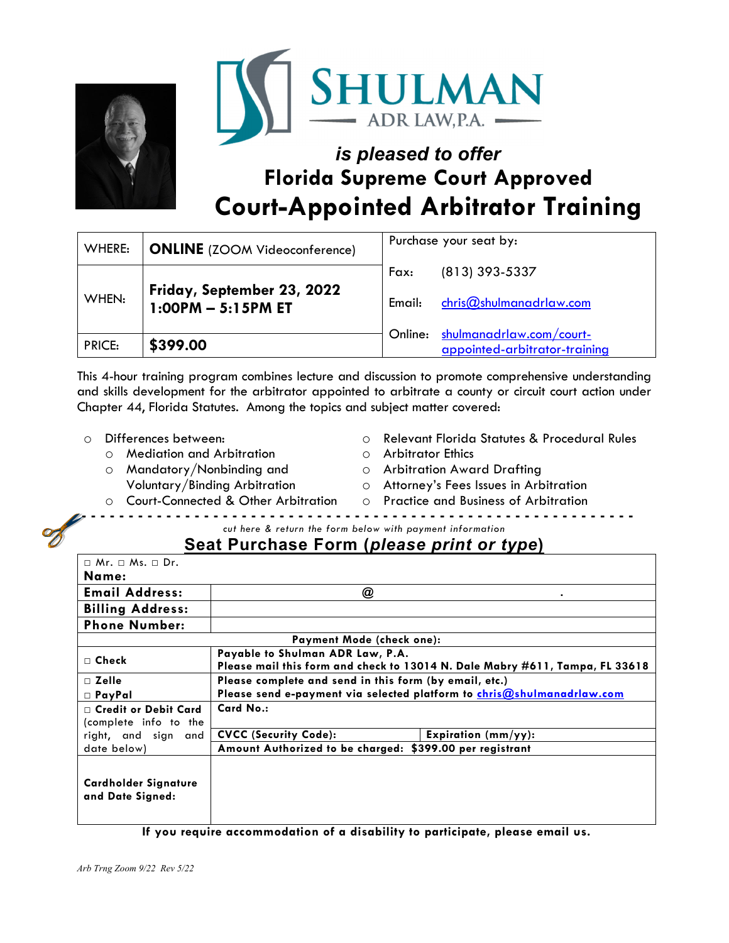



# *is pleased to offer*  **Florida Supreme Court Approved Court-Appointed Arbitrator Training**

| WHERE:        | <b>ONLINE</b> (ZOOM Videoconference)               | Purchase your seat by: |                                                           |
|---------------|----------------------------------------------------|------------------------|-----------------------------------------------------------|
|               |                                                    | Fax:                   | (813) 393-5337                                            |
| WHEN:         | Friday, September 23, 2022<br>$1:00PM - 5:15PM ET$ | Email:                 | chris@shulmanadrlaw.com                                   |
| <b>PRICE:</b> | \$399.00                                           | Online:                | shulmanadrlaw.com/court-<br>appointed-arbitrator-training |

This 4-hour training program combines lecture and discussion to promote comprehensive understanding and skills development for the arbitrator appointed to arbitrate a county or circuit court action under Chapter 44, Florida Statutes. Among the topics and subject matter covered:

- o Differences between:
	- o Mediation and Arbitration
	- o Mandatory/Nonbinding and Voluntary/Binding Arbitration
- o Relevant Florida Statutes & Procedural Rules
- o Arbitrator Ethics
- o Arbitration Award Drafting
- o Attorney's Fees Issues in Arbitration o Practice and Business of Arbitration
- o Court-Connected & Other Arbitration
	- *cut here & return the form below with payment information*

## **Seat Purchase Form (***please print or type***)**

| $\sqcap$ Mr. $\sqcap$ Ms. $\sqcap$ Dr.               |                                                                                                                  |  |  |  |
|------------------------------------------------------|------------------------------------------------------------------------------------------------------------------|--|--|--|
| Name:                                                |                                                                                                                  |  |  |  |
| <b>Email Address:</b>                                | @                                                                                                                |  |  |  |
| <b>Billing Address:</b>                              |                                                                                                                  |  |  |  |
| <b>Phone Number:</b>                                 |                                                                                                                  |  |  |  |
| Payment Mode (check one):                            |                                                                                                                  |  |  |  |
| $\Box$ Check                                         | Payable to Shulman ADR Law, P.A.<br>Please mail this form and check to 13014 N. Dale Mabry #611, Tampa, FL 33618 |  |  |  |
| $\sqcap$ Zelle                                       | Please complete and send in this form (by email, etc.)                                                           |  |  |  |
| $\Box$ PayPal                                        | Please send e-payment via selected platform to chris@shulmanadrlaw.com                                           |  |  |  |
| $\Box$ Credit or Debit Card<br>(complete info to the | Card No.:                                                                                                        |  |  |  |
| right, and sign and                                  | <b>CVCC (Security Code):</b><br>Expiration $(mm/yy)$ :                                                           |  |  |  |
| date below)                                          | Amount Authorized to be charged: \$399.00 per registrant                                                         |  |  |  |
| Cardholder Signature<br>and Date Signed:             |                                                                                                                  |  |  |  |

**If you require accommodation of a disability to participate, please email us.**